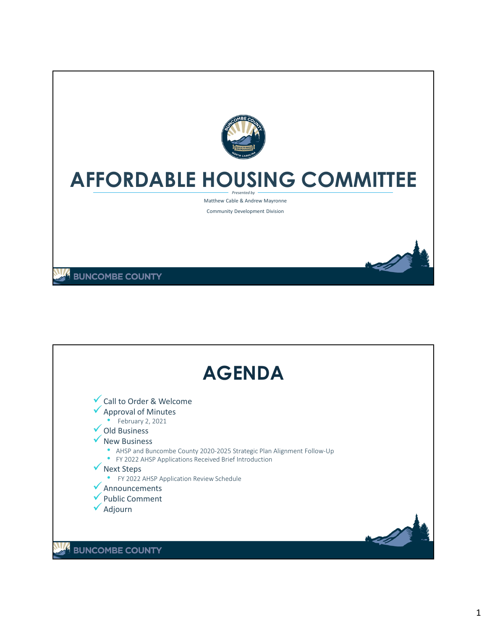

## **AFFORDABLE HOUSING COMMITTEE** *Presented by*

Matthew Cable & Andrew Mayronne

Community Development Division

**BUNCOMBE COUNTY** 

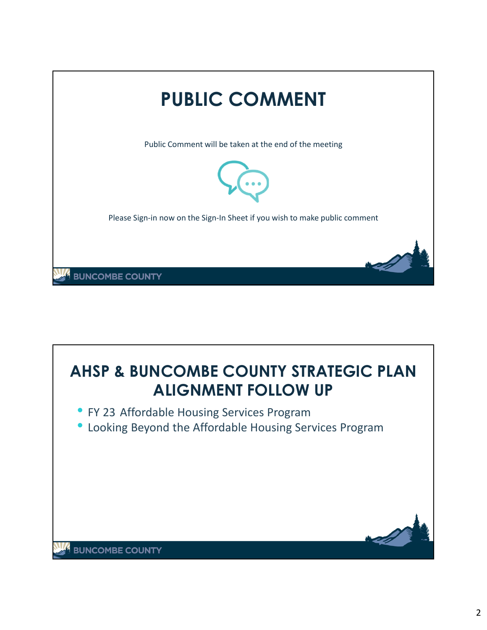

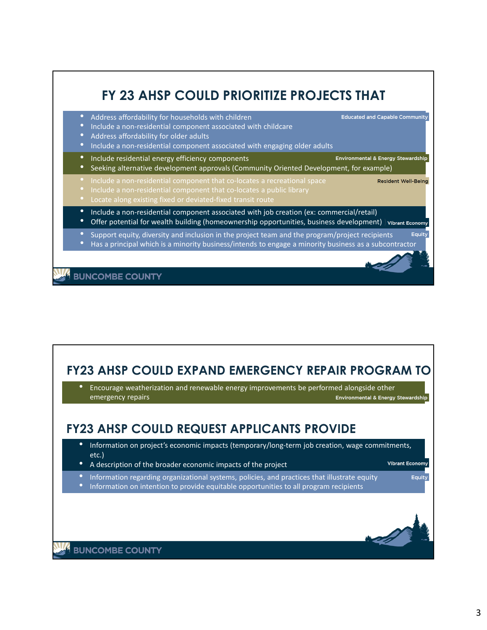

## **FY23 AHSP COULD EXPAND EMERGENCY REPAIR PROGRAM TO** • Encourage weatherization and renewable energy improvements be performed alongside other Environmental & Energy Stewardship emergency repairs **FY23 AHSP COULD REQUEST APPLICANTS PROVIDE**• Information on project's economic impacts (temporary/long-term job creation, wage commitments, etc.) **Vibrant Economy** • A description of the broader economic impacts of the project • Information regarding organizational systems, policies, and practices that illustrate equity Equity • Information on intention to provide equitable opportunities to all program recipients **BUNCOMBE COUNTY**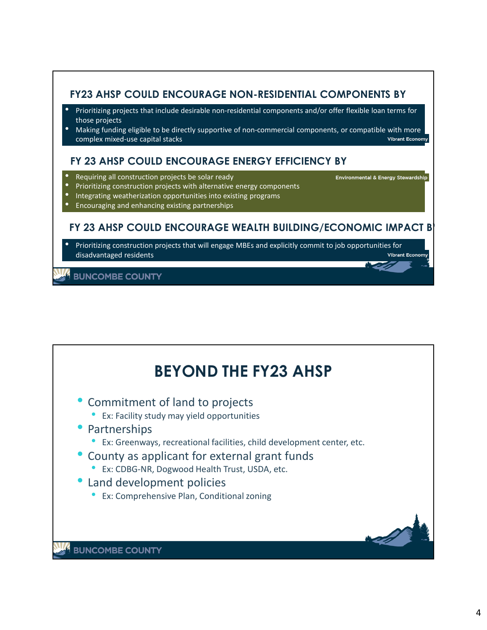